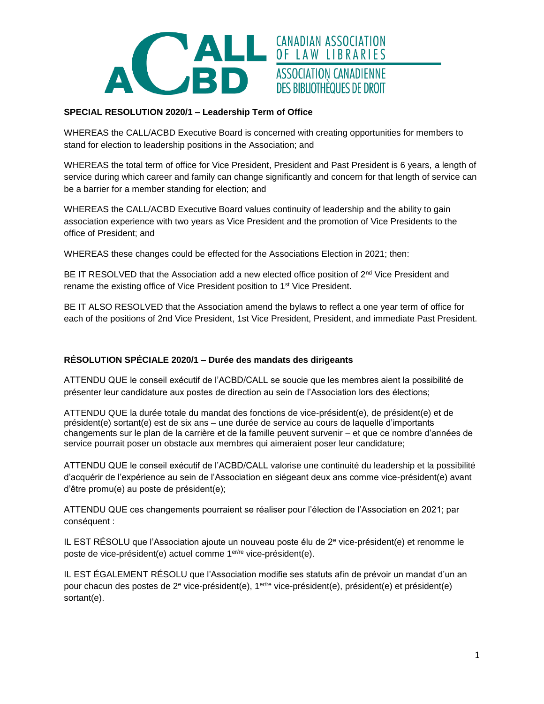

# **SPECIAL RESOLUTION 2020/1 – Leadership Term of Office**

WHEREAS the CALL/ACBD Executive Board is concerned with creating opportunities for members to stand for election to leadership positions in the Association; and

WHEREAS the total term of office for Vice President, President and Past President is 6 years, a length of service during which career and family can change significantly and concern for that length of service can be a barrier for a member standing for election; and

WHEREAS the CALL/ACBD Executive Board values continuity of leadership and the ability to gain association experience with two years as Vice President and the promotion of Vice Presidents to the office of President; and

WHEREAS these changes could be effected for the Associations Election in 2021; then:

BE IT RESOLVED that the Association add a new elected office position of  $2<sup>nd</sup>$  Vice President and rename the existing office of Vice President position to 1st Vice President.

BE IT ALSO RESOLVED that the Association amend the bylaws to reflect a one year term of office for each of the positions of 2nd Vice President, 1st Vice President, President, and immediate Past President.

## **RÉSOLUTION SPÉCIALE 2020/1 – Durée des mandats des dirigeants**

ATTENDU QUE le conseil exécutif de l'ACBD/CALL se soucie que les membres aient la possibilité de présenter leur candidature aux postes de direction au sein de l'Association lors des élections;

ATTENDU QUE la durée totale du mandat des fonctions de vice-président(e), de président(e) et de président(e) sortant(e) est de six ans – une durée de service au cours de laquelle d'importants changements sur le plan de la carrière et de la famille peuvent survenir – et que ce nombre d'années de service pourrait poser un obstacle aux membres qui aimeraient poser leur candidature;

ATTENDU QUE le conseil exécutif de l'ACBD/CALL valorise une continuité du leadership et la possibilité d'acquérir de l'expérience au sein de l'Association en siégeant deux ans comme vice-président(e) avant d'être promu(e) au poste de président(e);

ATTENDU QUE ces changements pourraient se réaliser pour l'élection de l'Association en 2021; par conséquent :

IL EST RÉSOLU que l'Association ajoute un nouveau poste élu de  $2<sup>e</sup>$  vice-président(e) et renomme le poste de vice-président(e) actuel comme 1er/re vice-président(e).

IL EST ÉGALEMENT RÉSOLU que l'Association modifie ses statuts afin de prévoir un mandat d'un an pour chacun des postes de 2<sup>e</sup> vice-président(e), 1er/re vice-président(e), président(e) et président(e) sortant(e).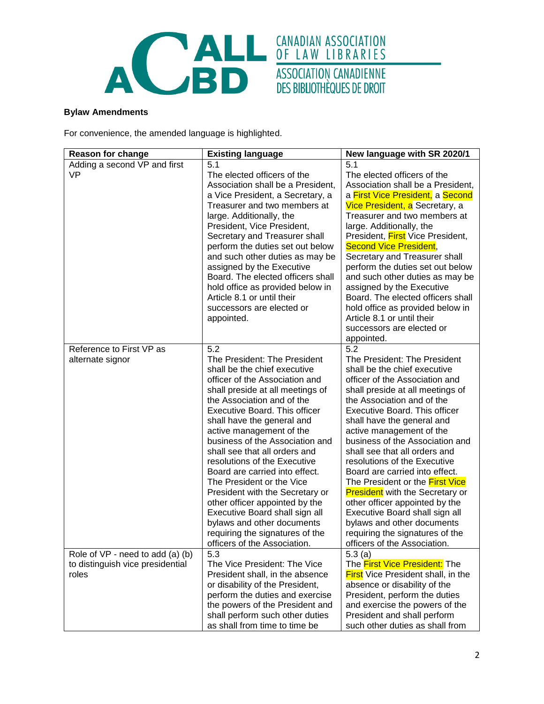

### **Bylaw Amendments**

For convenience, the amended language is highlighted.

| <b>Reason for change</b>                                                      | <b>Existing language</b>                                                                                                                                                                                                                                                                                                                                                                                                                                                                                                                                                                                                                      | New language with SR 2020/1                                                                                                                                                                                                                                                                                                                                                                                                                                                                                                                                                                                                                                |
|-------------------------------------------------------------------------------|-----------------------------------------------------------------------------------------------------------------------------------------------------------------------------------------------------------------------------------------------------------------------------------------------------------------------------------------------------------------------------------------------------------------------------------------------------------------------------------------------------------------------------------------------------------------------------------------------------------------------------------------------|------------------------------------------------------------------------------------------------------------------------------------------------------------------------------------------------------------------------------------------------------------------------------------------------------------------------------------------------------------------------------------------------------------------------------------------------------------------------------------------------------------------------------------------------------------------------------------------------------------------------------------------------------------|
| Adding a second VP and first<br><b>VP</b>                                     | 5.1<br>The elected officers of the<br>Association shall be a President,<br>a Vice President, a Secretary, a<br>Treasurer and two members at<br>large. Additionally, the<br>President, Vice President,<br>Secretary and Treasurer shall<br>perform the duties set out below<br>and such other duties as may be<br>assigned by the Executive<br>Board. The elected officers shall<br>hold office as provided below in<br>Article 8.1 or until their                                                                                                                                                                                             | 5.1<br>The elected officers of the<br>Association shall be a President,<br>a First Vice President, a Second<br>Vice President, a Secretary, a<br>Treasurer and two members at<br>large. Additionally, the<br>President, First Vice President,<br><b>Second Vice President,</b><br>Secretary and Treasurer shall<br>perform the duties set out below<br>and such other duties as may be<br>assigned by the Executive<br>Board. The elected officers shall                                                                                                                                                                                                   |
|                                                                               | successors are elected or<br>appointed.                                                                                                                                                                                                                                                                                                                                                                                                                                                                                                                                                                                                       | hold office as provided below in<br>Article 8.1 or until their<br>successors are elected or<br>appointed.                                                                                                                                                                                                                                                                                                                                                                                                                                                                                                                                                  |
| Reference to First VP as<br>alternate signor                                  | 5.2<br>The President: The President<br>shall be the chief executive<br>officer of the Association and<br>shall preside at all meetings of<br>the Association and of the<br>Executive Board. This officer<br>shall have the general and<br>active management of the<br>business of the Association and<br>shall see that all orders and<br>resolutions of the Executive<br>Board are carried into effect.<br>The President or the Vice<br>President with the Secretary or<br>other officer appointed by the<br>Executive Board shall sign all<br>bylaws and other documents<br>requiring the signatures of the<br>officers of the Association. | 5.2<br>The President: The President<br>shall be the chief executive<br>officer of the Association and<br>shall preside at all meetings of<br>the Association and of the<br>Executive Board. This officer<br>shall have the general and<br>active management of the<br>business of the Association and<br>shall see that all orders and<br>resolutions of the Executive<br>Board are carried into effect.<br>The President or the First Vice<br><b>President</b> with the Secretary or<br>other officer appointed by the<br>Executive Board shall sign all<br>bylaws and other documents<br>requiring the signatures of the<br>officers of the Association. |
| Role of VP - need to add (a) (b)<br>to distinguish vice presidential<br>roles | 5.3<br>The Vice President: The Vice<br>President shall, in the absence<br>or disability of the President,<br>perform the duties and exercise<br>the powers of the President and<br>shall perform such other duties<br>as shall from time to time be                                                                                                                                                                                                                                                                                                                                                                                           | 5.3(a)<br>The First Vice President: The<br><b>First</b> Vice President shall, in the<br>absence or disability of the<br>President, perform the duties<br>and exercise the powers of the<br>President and shall perform<br>such other duties as shall from                                                                                                                                                                                                                                                                                                                                                                                                  |

ASSOCIATION CANADIENNE<br>DES BIBLIOTHÈQUES DE DROIT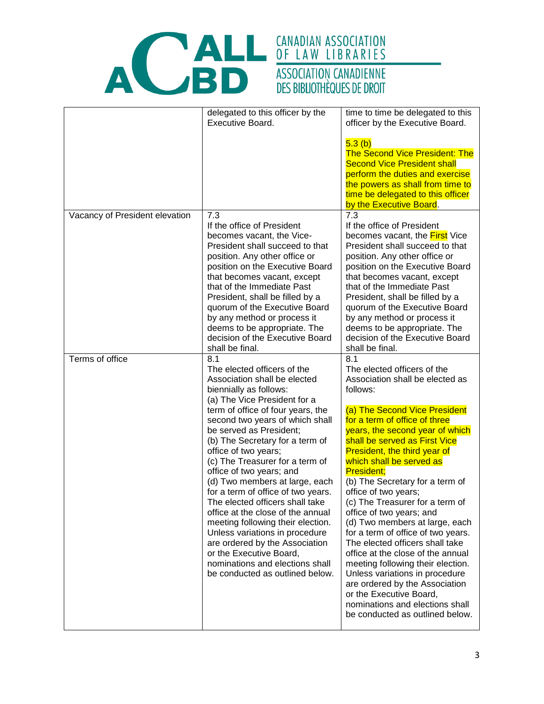



|                                | delegated to this officer by the<br>Executive Board.                                                                                                                                                                                                                                                                                                                                                                                                                                                                                                                                                                                                                                                                | time to time be delegated to this<br>officer by the Executive Board.<br>5.3(b)<br><b>The Second Vice President: The</b><br><b>Second Vice President shall</b><br>perform the duties and exercise<br>the powers as shall from time to<br>time be delegated to this officer<br>by the Executive Board.                                                                                                                                                                                                                                                                                                                                                                                                                                                                                         |
|--------------------------------|---------------------------------------------------------------------------------------------------------------------------------------------------------------------------------------------------------------------------------------------------------------------------------------------------------------------------------------------------------------------------------------------------------------------------------------------------------------------------------------------------------------------------------------------------------------------------------------------------------------------------------------------------------------------------------------------------------------------|----------------------------------------------------------------------------------------------------------------------------------------------------------------------------------------------------------------------------------------------------------------------------------------------------------------------------------------------------------------------------------------------------------------------------------------------------------------------------------------------------------------------------------------------------------------------------------------------------------------------------------------------------------------------------------------------------------------------------------------------------------------------------------------------|
| Vacancy of President elevation | 7.3<br>If the office of President<br>becomes vacant, the Vice-<br>President shall succeed to that<br>position. Any other office or<br>position on the Executive Board<br>that becomes vacant, except<br>that of the Immediate Past<br>President, shall be filled by a<br>quorum of the Executive Board<br>by any method or process it<br>deems to be appropriate. The<br>decision of the Executive Board<br>shall be final.                                                                                                                                                                                                                                                                                         | 7.3<br>If the office of President<br>becomes vacant, the <b>First</b> Vice<br>President shall succeed to that<br>position. Any other office or<br>position on the Executive Board<br>that becomes vacant, except<br>that of the Immediate Past<br>President, shall be filled by a<br>quorum of the Executive Board<br>by any method or process it<br>deems to be appropriate. The<br>decision of the Executive Board<br>shall be final.                                                                                                                                                                                                                                                                                                                                                      |
| Terms of office                | 8.1<br>The elected officers of the<br>Association shall be elected<br>biennially as follows:<br>(a) The Vice President for a<br>term of office of four years, the<br>second two years of which shall<br>be served as President;<br>(b) The Secretary for a term of<br>office of two years;<br>(c) The Treasurer for a term of<br>office of two years; and<br>(d) Two members at large, each<br>for a term of office of two years.<br>The elected officers shall take<br>office at the close of the annual<br>meeting following their election.<br>Unless variations in procedure<br>are ordered by the Association<br>or the Executive Board,<br>nominations and elections shall<br>be conducted as outlined below. | 8.1<br>The elected officers of the<br>Association shall be elected as<br>follows:<br>(a) The Second Vice President<br>for a term of office of three<br>years, the second year of which<br>shall be served as First Vice<br>President, the third year of<br>which shall be served as<br><b>President;</b><br>(b) The Secretary for a term of<br>office of two years;<br>(c) The Treasurer for a term of<br>office of two years; and<br>(d) Two members at large, each<br>for a term of office of two years.<br>The elected officers shall take<br>office at the close of the annual<br>meeting following their election.<br>Unless variations in procedure<br>are ordered by the Association<br>or the Executive Board,<br>nominations and elections shall<br>be conducted as outlined below. |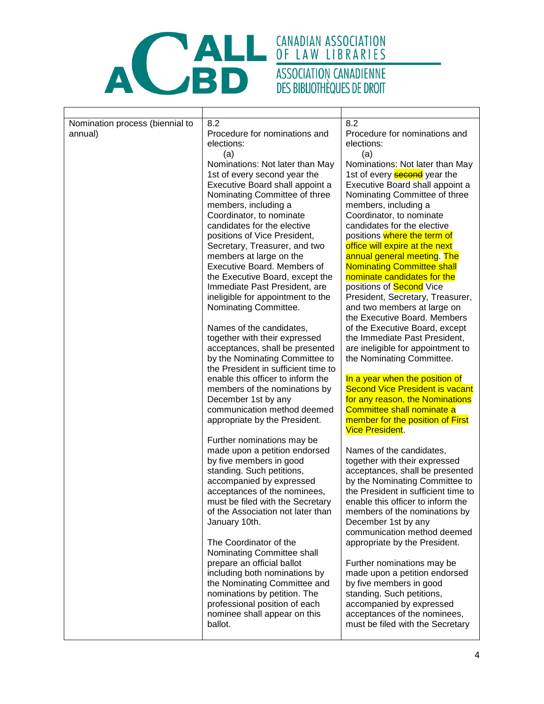

| Nomination process (biennial to<br>annual) | 8.2<br>Procedure for nominations and<br>elections:<br>(a)<br>Nominations: Not later than May<br>1st of every second year the<br>Executive Board shall appoint a<br>Nominating Committee of three<br>members, including a                                                                                             | 8.2<br>Procedure for nominations and<br>elections:<br>(a)<br>Nominations: Not later than May<br>1st of every <b>second</b> year the<br>Executive Board shall appoint a<br>Nominating Committee of three<br>members, including a                                                                                                                                   |
|--------------------------------------------|----------------------------------------------------------------------------------------------------------------------------------------------------------------------------------------------------------------------------------------------------------------------------------------------------------------------|-------------------------------------------------------------------------------------------------------------------------------------------------------------------------------------------------------------------------------------------------------------------------------------------------------------------------------------------------------------------|
|                                            | Coordinator, to nominate<br>candidates for the elective<br>positions of Vice President,<br>Secretary, Treasurer, and two<br>members at large on the<br>Executive Board. Members of<br>the Executive Board, except the<br>Immediate Past President, are<br>ineligible for appointment to the<br>Nominating Committee. | Coordinator, to nominate<br>candidates for the elective<br>positions where the term of<br>office will expire at the next<br>annual general meeting. The<br><b>Nominating Committee shall</b><br>nominate candidates for the<br>positions of <b>Second</b> Vice<br>President, Secretary, Treasurer,<br>and two members at large on<br>the Executive Board. Members |
|                                            | Names of the candidates,<br>together with their expressed<br>acceptances, shall be presented<br>by the Nominating Committee to<br>the President in sufficient time to                                                                                                                                                | of the Executive Board, except<br>the Immediate Past President,<br>are ineligible for appointment to<br>the Nominating Committee.                                                                                                                                                                                                                                 |
|                                            | enable this officer to inform the<br>members of the nominations by<br>December 1st by any<br>communication method deemed<br>appropriate by the President.                                                                                                                                                            | In a year when the position of<br><b>Second Vice President is vacant</b><br>for any reason, the Nominations<br>Committee shall nominate a<br>member for the position of First<br><b>Vice President.</b>                                                                                                                                                           |
|                                            | Further nominations may be<br>made upon a petition endorsed<br>by five members in good<br>standing. Such petitions,<br>accompanied by expressed<br>acceptances of the nominees,<br>must be filed with the Secretary<br>of the Association not later than<br>January 10th.                                            | Names of the candidates,<br>together with their expressed<br>acceptances, shall be presented<br>by the Nominating Committee to<br>the President in sufficient time to<br>enable this officer to inform the<br>members of the nominations by<br>December 1st by any<br>communication method deemed                                                                 |
|                                            | The Coordinator of the<br>Nominating Committee shall<br>prepare an official ballot<br>including both nominations by<br>the Nominating Committee and<br>nominations by petition. The<br>professional position of each<br>nominee shall appear on this<br>ballot.                                                      | appropriate by the President.<br>Further nominations may be<br>made upon a petition endorsed<br>by five members in good<br>standing. Such petitions,<br>accompanied by expressed<br>acceptances of the nominees,<br>must be filed with the Secretary                                                                                                              |